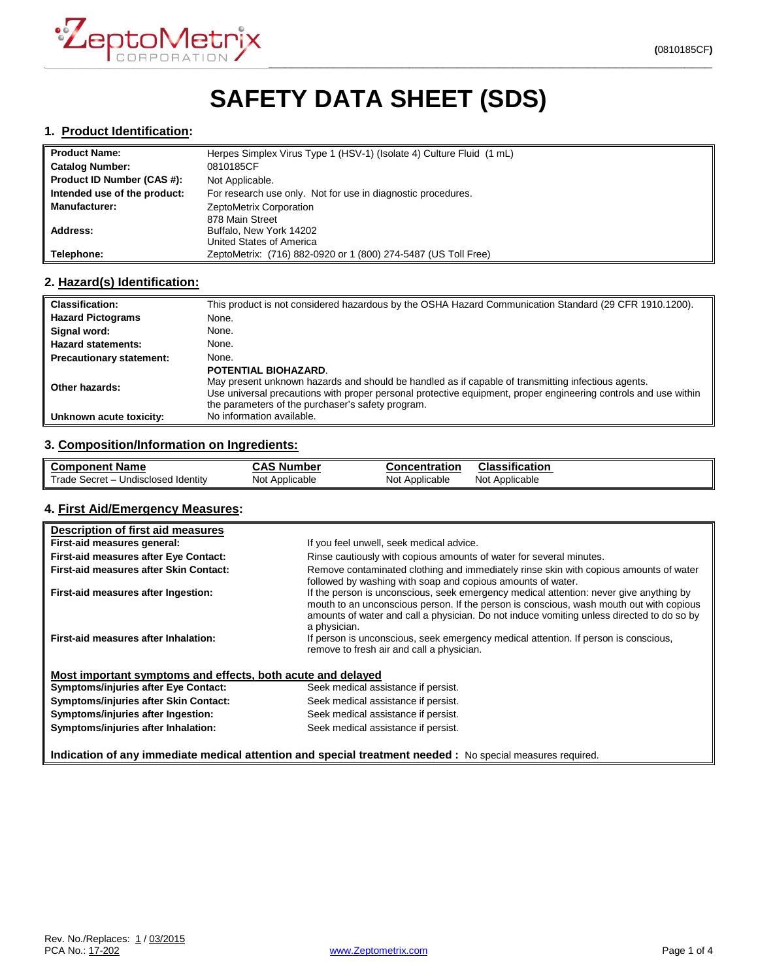

# **SAFETY DATA SHEET (SDS)**

#### **1. Product Identification:**

| <b>Product Name:</b>         | Herpes Simplex Virus Type 1 (HSV-1) (Isolate 4) Culture Fluid (1 mL) |
|------------------------------|----------------------------------------------------------------------|
| <b>Catalog Number:</b>       | 0810185CF                                                            |
| Product ID Number (CAS #):   | Not Applicable.                                                      |
| Intended use of the product: | For research use only. Not for use in diagnostic procedures.         |
| <b>Manufacturer:</b>         | ZeptoMetrix Corporation                                              |
|                              | 878 Main Street                                                      |
| Address:                     | Buffalo, New York 14202                                              |
|                              | United States of America                                             |
| Telephone:                   | ZeptoMetrix: (716) 882-0920 or 1 (800) 274-5487 (US Toll Free)       |

# **2. Hazard(s) Identification:**

| <b>Classification:</b>          | This product is not considered hazardous by the OSHA Hazard Communication Standard (29 CFR 1910.1200).                                                                                                                                                                                             |
|---------------------------------|----------------------------------------------------------------------------------------------------------------------------------------------------------------------------------------------------------------------------------------------------------------------------------------------------|
| <b>Hazard Pictograms</b>        | None.                                                                                                                                                                                                                                                                                              |
| Signal word:                    | None.                                                                                                                                                                                                                                                                                              |
| <b>Hazard statements:</b>       | None.                                                                                                                                                                                                                                                                                              |
| <b>Precautionary statement:</b> | None.                                                                                                                                                                                                                                                                                              |
| Other hazards:                  | POTENTIAL BIOHAZARD.<br>May present unknown hazards and should be handled as if capable of transmitting infectious agents.<br>Use universal precautions with proper personal protective equipment, proper engineering controls and use within<br>the parameters of the purchaser's safety program. |
| Unknown acute toxicity:         | No information available.                                                                                                                                                                                                                                                                          |

### **3. Composition/Information on Ingredients:**

| <b>Component Name</b>               | CAS<br><b>\S</b> Number | Concentration  | .<br>Classification |
|-------------------------------------|-------------------------|----------------|---------------------|
| Trade Secret - Undisclosed Identity | Not Applicable          | Not Applicable | Not<br>Applicable   |

## **4. First Aid/Emergency Measures:**

| Description of first aid measures                                                                          |                                                                                                                                                                                                                                                                                                |
|------------------------------------------------------------------------------------------------------------|------------------------------------------------------------------------------------------------------------------------------------------------------------------------------------------------------------------------------------------------------------------------------------------------|
| First-aid measures general:                                                                                | If you feel unwell, seek medical advice.                                                                                                                                                                                                                                                       |
| <b>First-aid measures after Eye Contact:</b>                                                               | Rinse cautiously with copious amounts of water for several minutes.                                                                                                                                                                                                                            |
| First-aid measures after Skin Contact:                                                                     | Remove contaminated clothing and immediately rinse skin with copious amounts of water<br>followed by washing with soap and copious amounts of water.                                                                                                                                           |
| First-aid measures after Ingestion:                                                                        | If the person is unconscious, seek emergency medical attention: never give anything by<br>mouth to an unconscious person. If the person is conscious, wash mouth out with copious<br>amounts of water and call a physician. Do not induce vomiting unless directed to do so by<br>a physician. |
| First-aid measures after Inhalation:                                                                       | If person is unconscious, seek emergency medical attention. If person is conscious,<br>remove to fresh air and call a physician.                                                                                                                                                               |
| Most important symptoms and effects, both acute and delayed                                                |                                                                                                                                                                                                                                                                                                |
| <b>Symptoms/injuries after Eye Contact:</b>                                                                | Seek medical assistance if persist.                                                                                                                                                                                                                                                            |
| Symptoms/injuries after Skin Contact:                                                                      | Seek medical assistance if persist.                                                                                                                                                                                                                                                            |
| Symptoms/injuries after Ingestion:                                                                         | Seek medical assistance if persist.                                                                                                                                                                                                                                                            |
| Symptoms/injuries after Inhalation:                                                                        | Seek medical assistance if persist.                                                                                                                                                                                                                                                            |
| Indication of any immediate medical attention and special treatment needed : No special measures required. |                                                                                                                                                                                                                                                                                                |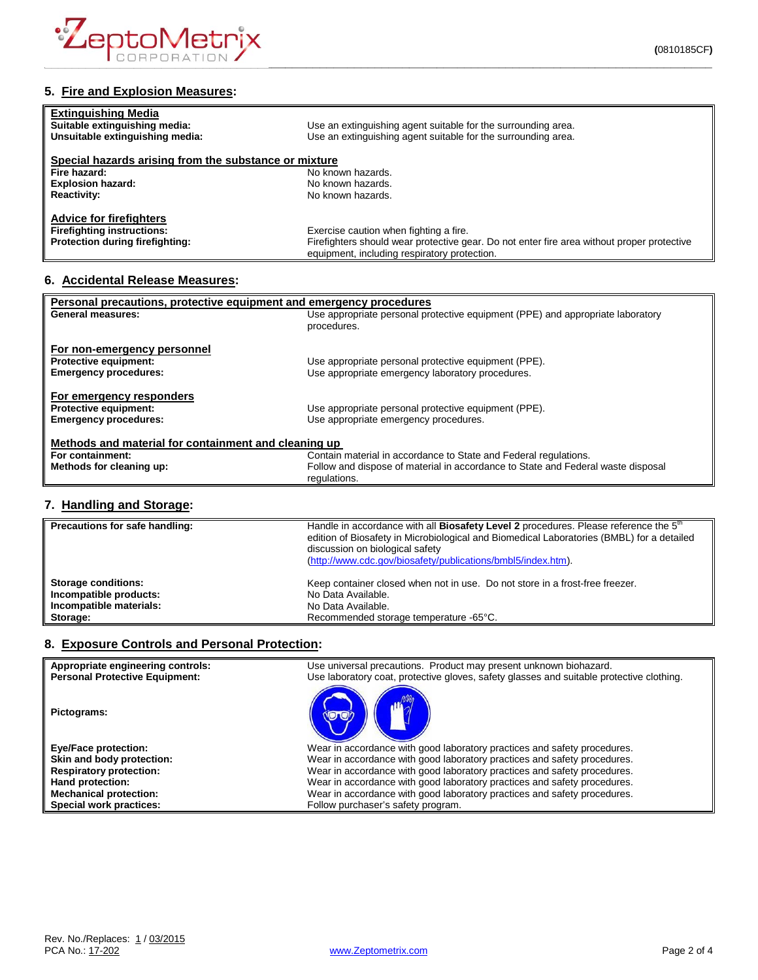

| <b>Extinguishing Media</b><br>Suitable extinguishing media: | Use an extinguishing agent suitable for the surrounding area.                              |
|-------------------------------------------------------------|--------------------------------------------------------------------------------------------|
| Unsuitable extinguishing media:                             | Use an extinguishing agent suitable for the surrounding area.                              |
|                                                             |                                                                                            |
| Special hazards arising from the substance or mixture       |                                                                                            |
| Fire hazard:                                                | No known hazards.                                                                          |
| <b>Explosion hazard:</b>                                    | No known hazards.                                                                          |
| <b>Reactivity:</b>                                          | No known hazards.                                                                          |
| <b>Advice for firefighters</b>                              |                                                                                            |
| <b>Firefighting instructions:</b>                           | Exercise caution when fighting a fire.                                                     |
| <b>Protection during firefighting:</b>                      | Firefighters should wear protective gear. Do not enter fire area without proper protective |
|                                                             | equipment, including respiratory protection.                                               |

# **6. Accidental Release Measures:**

| Personal precautions, protective equipment and emergency procedures |                                                                                  |  |
|---------------------------------------------------------------------|----------------------------------------------------------------------------------|--|
| <b>General measures:</b>                                            | Use appropriate personal protective equipment (PPE) and appropriate laboratory   |  |
|                                                                     | procedures.                                                                      |  |
|                                                                     |                                                                                  |  |
| For non-emergency personnel                                         |                                                                                  |  |
| <b>Protective equipment:</b>                                        | Use appropriate personal protective equipment (PPE).                             |  |
| <b>Emergency procedures:</b>                                        | Use appropriate emergency laboratory procedures.                                 |  |
|                                                                     |                                                                                  |  |
| For emergency responders                                            |                                                                                  |  |
| <b>Protective equipment:</b>                                        | Use appropriate personal protective equipment (PPE).                             |  |
| <b>Emergency procedures:</b>                                        | Use appropriate emergency procedures.                                            |  |
|                                                                     |                                                                                  |  |
| Methods and material for containment and cleaning up                |                                                                                  |  |
| For containment:                                                    | Contain material in accordance to State and Federal regulations.                 |  |
| Methods for cleaning up:                                            | Follow and dispose of material in accordance to State and Federal waste disposal |  |
|                                                                     | regulations.                                                                     |  |
|                                                                     |                                                                                  |  |

# **7. Handling and Storage:**

| Precautions for safe handling: | Handle in accordance with all Biosafety Level 2 procedures. Please reference the 5 <sup>th</sup><br>edition of Biosafety in Microbiological and Biomedical Laboratories (BMBL) for a detailed<br>discussion on biological safety<br>(http://www.cdc.gov/biosafety/publications/bmbl5/index.htm). |
|--------------------------------|--------------------------------------------------------------------------------------------------------------------------------------------------------------------------------------------------------------------------------------------------------------------------------------------------|
| Storage conditions:            | Keep container closed when not in use. Do not store in a frost-free freezer.                                                                                                                                                                                                                     |
| Incompatible products:         | No Data Available.                                                                                                                                                                                                                                                                               |
| Incompatible materials:        | No Data Available.                                                                                                                                                                                                                                                                               |
| Storage:                       | Recommended storage temperature -65°C.                                                                                                                                                                                                                                                           |

# **8. Exposure Controls and Personal Protection:**

| Appropriate engineering controls:<br><b>Personal Protective Equipment:</b> | Use universal precautions. Product may present unknown biohazard.<br>Use laboratory coat, protective gloves, safety glasses and suitable protective clothing. |
|----------------------------------------------------------------------------|---------------------------------------------------------------------------------------------------------------------------------------------------------------|
| Pictograms:                                                                |                                                                                                                                                               |
| <b>Eye/Face protection:</b>                                                | Wear in accordance with good laboratory practices and safety procedures.                                                                                      |
| Skin and body protection:                                                  | Wear in accordance with good laboratory practices and safety procedures.                                                                                      |
| <b>Respiratory protection:</b>                                             | Wear in accordance with good laboratory practices and safety procedures.                                                                                      |
| Hand protection:                                                           | Wear in accordance with good laboratory practices and safety procedures.                                                                                      |
| <b>Mechanical protection:</b>                                              | Wear in accordance with good laboratory practices and safety procedures.                                                                                      |
| Special work practices:                                                    | Follow purchaser's safety program.                                                                                                                            |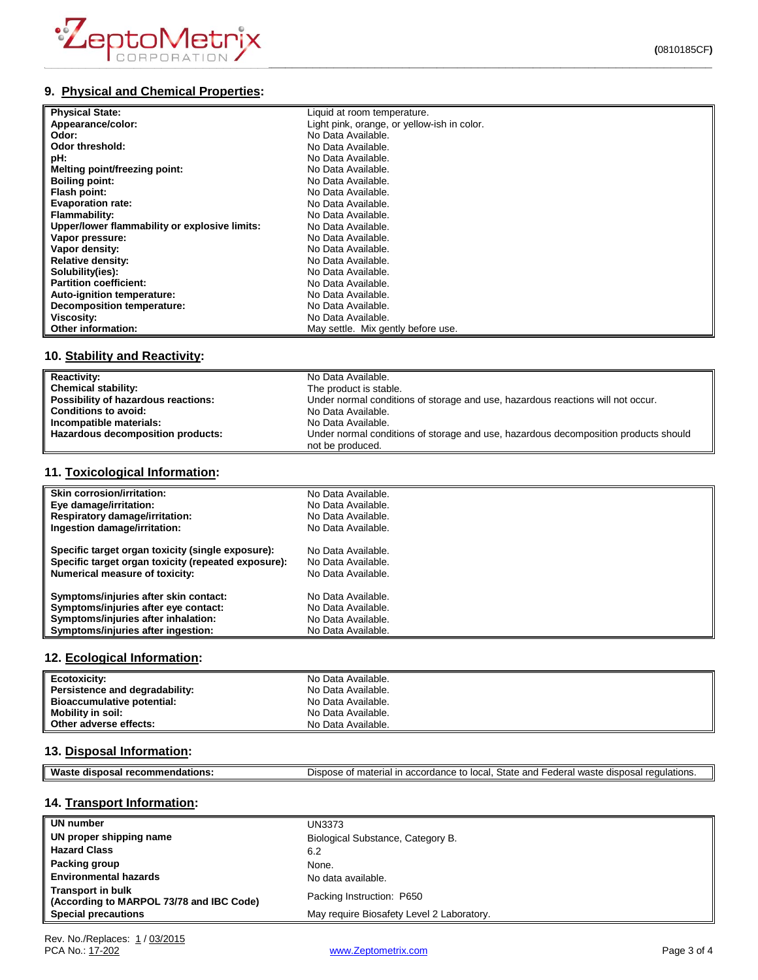

# **9. Physical and Chemical Properties:**

| <b>Physical State:</b>                        | Liquid at room temperature.                 |
|-----------------------------------------------|---------------------------------------------|
| Appearance/color:                             | Light pink, orange, or yellow-ish in color. |
| Odor:                                         | No Data Available.                          |
| Odor threshold:                               | No Data Available.                          |
| pH:                                           | No Data Available.                          |
| Melting point/freezing point:                 | No Data Available.                          |
| <b>Boiling point:</b>                         | No Data Available.                          |
| Flash point:                                  | No Data Available.                          |
| <b>Evaporation rate:</b>                      | No Data Available.                          |
| Flammability:                                 | No Data Available.                          |
| Upper/lower flammability or explosive limits: | No Data Available.                          |
| Vapor pressure:                               | No Data Available.                          |
| Vapor density:                                | No Data Available.                          |
| <b>Relative density:</b>                      | No Data Available.                          |
| Solubility(ies):                              | No Data Available.                          |
| <b>Partition coefficient:</b>                 | No Data Available.                          |
| Auto-ignition temperature:                    | No Data Available.                          |
| <b>Decomposition temperature:</b>             | No Data Available.                          |
| Viscosity:                                    | No Data Available.                          |
| <b>Other information:</b>                     | May settle. Mix gently before use.          |

# **10. Stability and Reactivity:**

| <b>Reactivity:</b>                  | No Data Available.                                                                                      |
|-------------------------------------|---------------------------------------------------------------------------------------------------------|
| Chemical stability:                 | The product is stable.                                                                                  |
| Possibility of hazardous reactions: | Under normal conditions of storage and use, hazardous reactions will not occur.                         |
| <b>Conditions to avoid:</b>         | No Data Available.                                                                                      |
| Incompatible materials:             | No Data Available.                                                                                      |
| Hazardous decomposition products:   | Under normal conditions of storage and use, hazardous decomposition products should<br>not be produced. |

# **11. Toxicological Information:**

| <b>Skin corrosion/irritation:</b>                   | No Data Available. |
|-----------------------------------------------------|--------------------|
| Eye damage/irritation:                              | No Data Available. |
| <b>Respiratory damage/irritation:</b>               | No Data Available. |
| Ingestion damage/irritation:                        | No Data Available. |
| Specific target organ toxicity (single exposure):   | No Data Available. |
| Specific target organ toxicity (repeated exposure): | No Data Available. |
| <b>Numerical measure of toxicity:</b>               | No Data Available. |
| Symptoms/injuries after skin contact:               | No Data Available. |
| Symptoms/injuries after eye contact:                | No Data Available. |
| Symptoms/injuries after inhalation:                 | No Data Available. |
| Symptoms/injuries after ingestion:                  | No Data Available. |

#### **12. Ecological Information:**

| Ecotoxicity:                      | No Data Available. |
|-----------------------------------|--------------------|
| Persistence and degradability:    | No Data Available. |
| <b>Bioaccumulative potential:</b> | No Data Available. |
| Mobility in soil:                 | No Data Available. |
| Other adverse effects:            | No Data Available. |

#### **13. Disposal Information:**

| ML<br>oв.<br>50<br>- - | State<br>and<br>local<br>1.0 <sub>m</sub><br>- -<br>$\overline{a}$<br>- 스<br>י הווה<br>.00<br>,,,<br>. Ir<br>~<br>$\epsilon$<br>.ore<br>$\overline{\phantom{a}}$<br>$\sim$<br>ы.<br>-<br>.107<br>৴౹៶<br>วเเ<br><b>EULDI</b> 13.<br>.<br>. . |
|------------------------|---------------------------------------------------------------------------------------------------------------------------------------------------------------------------------------------------------------------------------------------|
|                        |                                                                                                                                                                                                                                             |

# **14. Transport Information:**

| UN number                                                            | UN3373                                    |
|----------------------------------------------------------------------|-------------------------------------------|
| UN proper shipping name                                              | Biological Substance, Category B.         |
| <b>Hazard Class</b>                                                  | 6.2                                       |
| Packing group                                                        | None.                                     |
| <b>Environmental hazards</b>                                         | No data available.                        |
| <b>Transport in bulk</b><br>(According to MARPOL 73/78 and IBC Code) | Packing Instruction: P650                 |
| <b>Special precautions</b>                                           | May require Biosafety Level 2 Laboratory. |